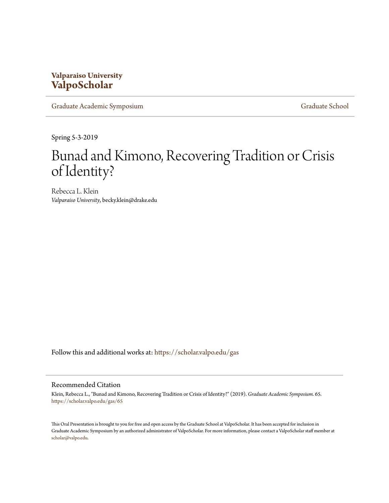## **Valparaiso University [ValpoScholar](https://scholar.valpo.edu/?utm_source=scholar.valpo.edu%2Fgas%2F65&utm_medium=PDF&utm_campaign=PDFCoverPages)**

[Graduate Academic Symposium](https://scholar.valpo.edu/gas?utm_source=scholar.valpo.edu%2Fgas%2F65&utm_medium=PDF&utm_campaign=PDFCoverPages) [Graduate School](https://scholar.valpo.edu/grad?utm_source=scholar.valpo.edu%2Fgas%2F65&utm_medium=PDF&utm_campaign=PDFCoverPages) Graduate School

Spring 5-3-2019

## Bunad and Kimono, Recovering Tradition or Crisis of Identity?

Rebecca L. Klein *Valparaiso University*, becky.klein@drake.edu

Follow this and additional works at: [https://scholar.valpo.edu/gas](https://scholar.valpo.edu/gas?utm_source=scholar.valpo.edu%2Fgas%2F65&utm_medium=PDF&utm_campaign=PDFCoverPages)

## Recommended Citation

Klein, Rebecca L., "Bunad and Kimono, Recovering Tradition or Crisis of Identity?" (2019). *Graduate Academic Symposium*. 65. [https://scholar.valpo.edu/gas/65](https://scholar.valpo.edu/gas/65?utm_source=scholar.valpo.edu%2Fgas%2F65&utm_medium=PDF&utm_campaign=PDFCoverPages)

This Oral Presentation is brought to you for free and open access by the Graduate School at ValpoScholar. It has been accepted for inclusion in Graduate Academic Symposium by an authorized administrator of ValpoScholar. For more information, please contact a ValpoScholar staff member at [scholar@valpo.edu.](mailto:scholar@valpo.edu)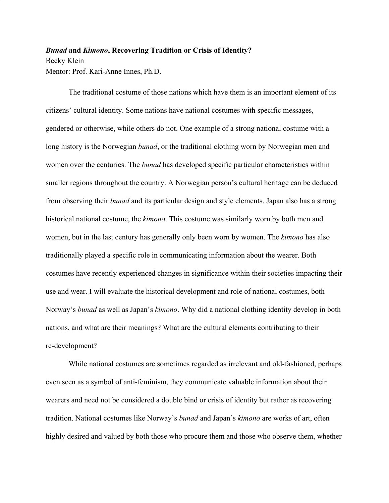## *Bunad* **and** *Kimono***, Recovering Tradition or Crisis of Identity?** Becky Klein Mentor: Prof. Kari-Anne Innes, Ph.D.

The traditional costume of those nations which have them is an important element of its citizens' cultural identity. Some nations have national costumes with specific messages, gendered or otherwise, while others do not. One example of a strong national costume with a long history is the Norwegian *bunad*, or the traditional clothing worn by Norwegian men and women over the centuries. The *bunad* has developed specific particular characteristics within smaller regions throughout the country. A Norwegian person's cultural heritage can be deduced from observing their *bunad* and its particular design and style elements. Japan also has a strong historical national costume, the *kimono*. This costume was similarly worn by both men and women, but in the last century has generally only been worn by women. The *kimono* has also traditionally played a specific role in communicating information about the wearer. Both costumes have recently experienced changes in significance within their societies impacting their use and wear. I will evaluate the historical development and role of national costumes, both Norway's *bunad* as well as Japan's *kimono*. Why did a national clothing identity develop in both nations, and what are their meanings? What are the cultural elements contributing to their re-development?

While national costumes are sometimes regarded as irrelevant and old-fashioned, perhaps even seen as a symbol of anti-feminism, they communicate valuable information about their wearers and need not be considered a double bind or crisis of identity but rather as recovering tradition. National costumes like Norway's *bunad* and Japan's *kimono* are works of art, often highly desired and valued by both those who procure them and those who observe them, whether